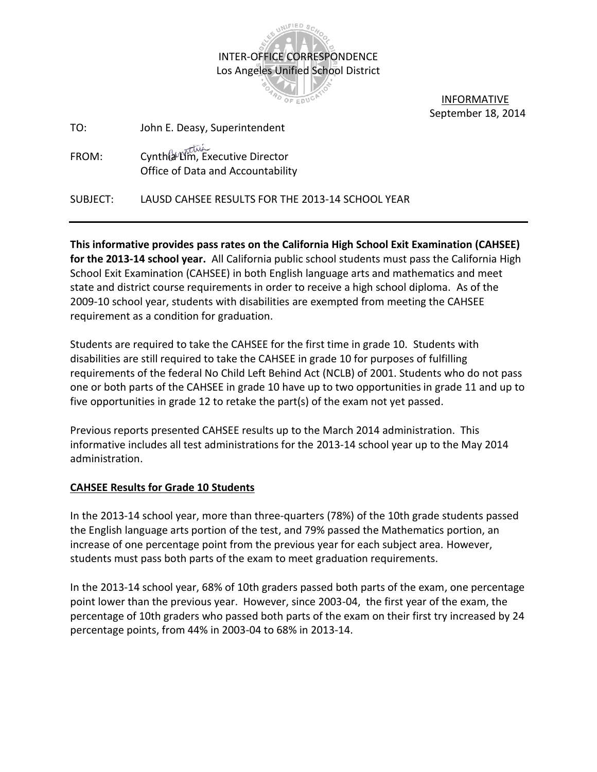

 INFORMATIVE September 18, 2014

| John E. Deasy, Superintendent<br>TO:                                          |  |
|-------------------------------------------------------------------------------|--|
| Cynthia Lim, Executive Director<br>FROM:<br>Office of Data and Accountability |  |

SUBJECT: LAUSD CAHSEE RESULTS FOR THE 2013-14 SCHOOL YEAR

**This informative provides pass rates on the California High School Exit Examination (CAHSEE) for the 2013-14 school year.** All California public school students must pass the California High School Exit Examination (CAHSEE) in both English language arts and mathematics and meet state and district course requirements in order to receive a high school diploma. As of the 2009-10 school year, students with disabilities are exempted from meeting the CAHSEE requirement as a condition for graduation.

Students are required to take the CAHSEE for the first time in grade 10. Students with disabilities are still required to take the CAHSEE in grade 10 for purposes of fulfilling requirements of the federal No Child Left Behind Act (NCLB) of 2001. Students who do not pass one or both parts of the CAHSEE in grade 10 have up to two opportunities in grade 11 and up to five opportunities in grade 12 to retake the part(s) of the exam not yet passed.

Previous reports presented CAHSEE results up to the March 2014 administration. This informative includes all test administrations for the 2013-14 school year up to the May 2014 administration.

## **CAHSEE Results for Grade 10 Students**

In the 2013-14 school year, more than three-quarters (78%) of the 10th grade students passed the English language arts portion of the test, and 79% passed the Mathematics portion, an increase of one percentage point from the previous year for each subject area. However, students must pass both parts of the exam to meet graduation requirements.

In the 2013-14 school year, 68% of 10th graders passed both parts of the exam, one percentage point lower than the previous year. However, since 2003-04, the first year of the exam, the percentage of 10th graders who passed both parts of the exam on their first try increased by 24 percentage points, from 44% in 2003-04 to 68% in 2013-14.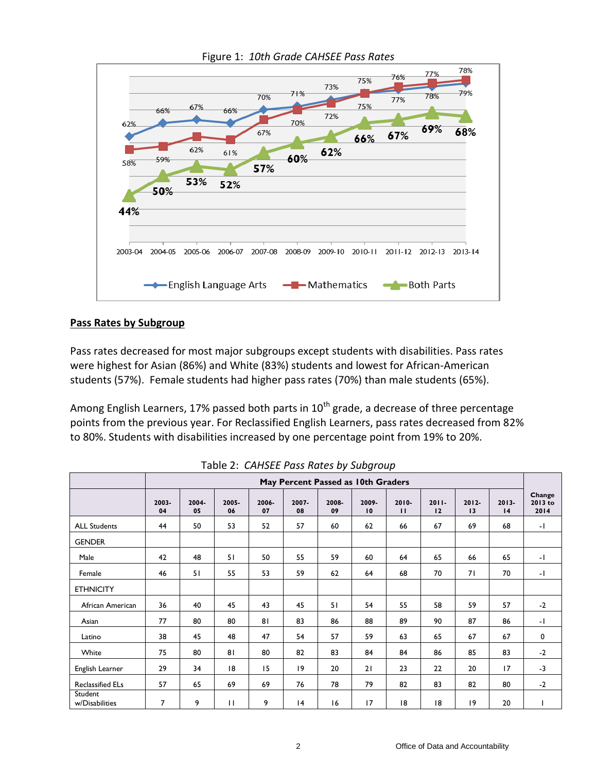

Figure 1: *10th Grade CAHSEE Pass Rates*

## **Pass Rates by Subgroup**

Pass rates decreased for most major subgroups except students with disabilities. Pass rates were highest for Asian (86%) and White (83%) students and lowest for African-American students (57%). Female students had higher pass rates (70%) than male students (65%).

Among English Learners, 17% passed both parts in  $10^{th}$  grade, a decrease of three percentage points from the previous year. For Reclassified English Learners, pass rates decreased from 82% to 80%. Students with disabilities increased by one percentage point from 19% to 20%.

|                           |                | May Percent Passed as 10th Graders |              |             |             |             |             |                       |                |                |                |                           |
|---------------------------|----------------|------------------------------------|--------------|-------------|-------------|-------------|-------------|-----------------------|----------------|----------------|----------------|---------------------------|
|                           | 2003-<br>04    | 2004-<br>05                        | 2005-<br>06  | 2006-<br>07 | 2007-<br>08 | 2008-<br>09 | 2009-<br>10 | 2010-<br>$\mathbf{H}$ | $2011 -$<br>12 | $2012 -$<br>13 | $2013 -$<br>14 | Change<br>2013 to<br>2014 |
| <b>ALL Students</b>       | 44             | 50                                 | 53           | 52          | 57          | 60          | 62          | 66                    | 67             | 69             | 68             | -1                        |
| <b>GENDER</b>             |                |                                    |              |             |             |             |             |                       |                |                |                |                           |
| Male                      | 42             | 48                                 | 51           | 50          | 55          | 59          | 60          | 64                    | 65             | 66             | 65             | $-1$                      |
| Female                    | 46             | 51                                 | 55           | 53          | 59          | 62          | 64          | 68                    | 70             | 71             | 70             | $-1$                      |
| <b>ETHNICITY</b>          |                |                                    |              |             |             |             |             |                       |                |                |                |                           |
| African American          | 36             | 40                                 | 45           | 43          | 45          | 51          | 54          | 55                    | 58             | 59             | 57             | $-2$                      |
| Asian                     | 77             | 80                                 | 80           | 81          | 83          | 86          | 88          | 89                    | 90             | 87             | 86             | $-1$                      |
| Latino                    | 38             | 45                                 | 48           | 47          | 54          | 57          | 59          | 63                    | 65             | 67             | 67             | $\mathbf 0$               |
| White                     | 75             | 80                                 | 81           | 80          | 82          | 83          | 84          | 84                    | 86             | 85             | 83             | $-2$                      |
| English Learner           | 29             | 34                                 | 8            | 15          | 9           | 20          | 21          | 23                    | 22             | 20             | 17             | $-3$                      |
| <b>Reclassified ELs</b>   | 57             | 65                                 | 69           | 69          | 76          | 78          | 79          | 82                    | 83             | 82             | 80             | $-2$                      |
| Student<br>w/Disabilities | $\overline{7}$ | 9                                  | $\mathbf{H}$ | 9           | 4           | 16          | 17          | 8                     | 18             | 19             | 20             |                           |

Table 2: *CAHSEE Pass Rates by Subgroup*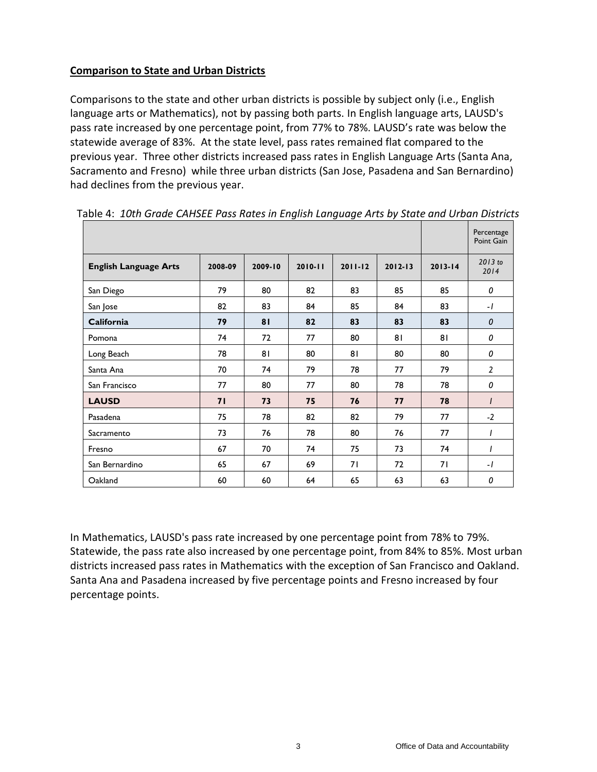## **Comparison to State and Urban Districts**

Comparisons to the state and other urban districts is possible by subject only (i.e., English language arts or Mathematics), not by passing both parts. In English language arts, LAUSD's pass rate increased by one percentage point, from 77% to 78%. LAUSD's rate was below the statewide average of 83%. At the state level, pass rates remained flat compared to the previous year. Three other districts increased pass rates in English Language Arts (Santa Ana, Sacramento and Fresno) while three urban districts (San Jose, Pasadena and San Bernardino) had declines from the previous year.

| ≈ic ii ±oth oraac ombee mao natos m enghon eangaage mito sy otate ana orsan Diotho |         |         |         |             |             |             | Percentage<br>Point Gain |
|------------------------------------------------------------------------------------|---------|---------|---------|-------------|-------------|-------------|--------------------------|
| <b>English Language Arts</b>                                                       | 2008-09 | 2009-10 | 2010-11 | $2011 - 12$ | $2012 - 13$ | $2013 - 14$ | $2013$ to<br>2014        |
| San Diego                                                                          | 79      | 80      | 82      | 83          | 85          | 85          | 0                        |
| San Jose                                                                           | 82      | 83      | 84      | 85          | 84          | 83          | $-1$                     |
| California                                                                         | 79      | 81      | 82      | 83          | 83          | 83          | $\boldsymbol{0}$         |
| Pomona                                                                             | 74      | 72      | 77      | 80          | 81          | 81          | 0                        |
| Long Beach                                                                         | 78      | 81      | 80      | 81          | 80          | 80          | 0                        |
| Santa Ana                                                                          | 70      | 74      | 79      | 78          | 77          | 79          | $\overline{2}$           |
| San Francisco                                                                      | 77      | 80      | 77      | 80          | 78          | 78          | 0                        |
| <b>LAUSD</b>                                                                       | 71      | 73      | 75      | 76          | 77          | 78          | $\prime$                 |
| Pasadena                                                                           | 75      | 78      | 82      | 82          | 79          | 77          | $-2$                     |
| Sacramento                                                                         | 73      | 76      | 78      | 80          | 76          | 77          | $\overline{I}$           |
| Fresno                                                                             | 67      | 70      | 74      | 75          | 73          | 74          | I                        |
| San Bernardino                                                                     | 65      | 67      | 69      | 71          | 72          | 71          | $-I$                     |
| Oakland                                                                            | 60      | 60      | 64      | 65          | 63          | 63          | 0                        |

Table 4: *10th Grade CAHSEE Pass Rates in English Language Arts by State and Urban Districts*

In Mathematics, LAUSD's pass rate increased by one percentage point from 78% to 79%. Statewide, the pass rate also increased by one percentage point, from 84% to 85%. Most urban districts increased pass rates in Mathematics with the exception of San Francisco and Oakland. Santa Ana and Pasadena increased by five percentage points and Fresno increased by four percentage points.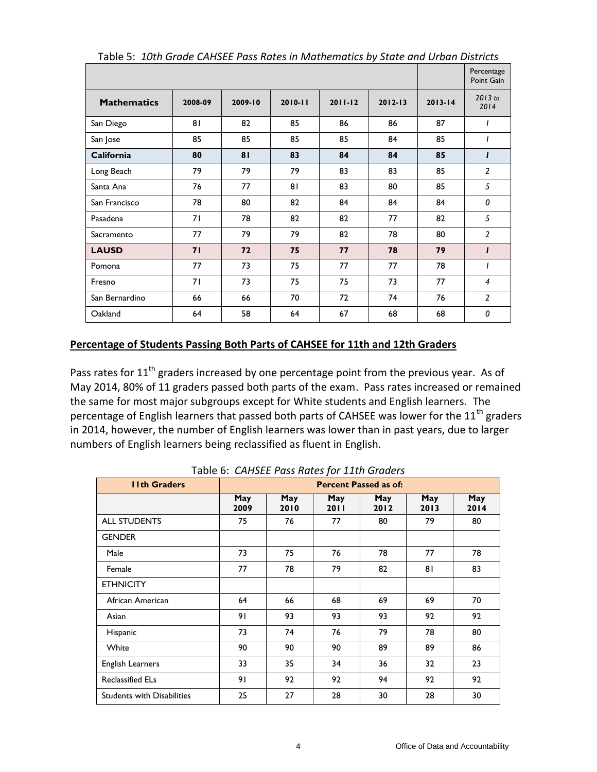|                    |         |         |             |             |             |             | Percentage<br>Point Gain |
|--------------------|---------|---------|-------------|-------------|-------------|-------------|--------------------------|
| <b>Mathematics</b> | 2008-09 | 2009-10 | $2010 - 11$ | $2011 - 12$ | $2012 - 13$ | $2013 - 14$ | 2013 to<br>2014          |
| San Diego          | 81      | 82      | 85          | 86          | 86          | 87          |                          |
| San Jose           | 85      | 85      | 85          | 85          | 84          | 85          | 1                        |
| <b>California</b>  | 80      | 81      | 83          | 84          | 84          | 85          | $\mathbf{I}$             |
| Long Beach         | 79      | 79      | 79          | 83          | 83          | 85          | $\overline{2}$           |
| Santa Ana          | 76      | 77      | 81          | 83          | 80          | 85          | 5                        |
| San Francisco      | 78      | 80      | 82          | 84          | 84          | 84          | 0                        |
| Pasadena           | 71      | 78      | 82          | 82          | 77          | 82          | 5                        |
| Sacramento         | 77      | 79      | 79          | 82          | 78          | 80          | $\overline{2}$           |
| <b>LAUSD</b>       | 71      | 72      | 75          | 77          | 78          | 79          | $\mathbf{I}$             |
| Pomona             | 77      | 73      | 75          | 77          | 77          | 78          | $\overline{I}$           |
| Fresno             | 71      | 73      | 75          | 75          | 73          | 77          | 4                        |
| San Bernardino     | 66      | 66      | 70          | 72          | 74          | 76          | $\overline{2}$           |
| Oakland            | 64      | 58      | 64          | 67          | 68          | 68          | 0                        |

Table 5: *10th Grade CAHSEE Pass Rates in Mathematics by State and Urban Districts*

## **Percentage of Students Passing Both Parts of CAHSEE for 11th and 12th Graders**

Pass rates for  $11<sup>th</sup>$  graders increased by one percentage point from the previous year. As of May 2014, 80% of 11 graders passed both parts of the exam. Pass rates increased or remained the same for most major subgroups except for White students and English learners. The percentage of English learners that passed both parts of CAHSEE was lower for the 11<sup>th</sup> graders in 2014, however, the number of English learners was lower than in past years, due to larger numbers of English learners being reclassified as fluent in English.

| <b>Ilth Graders</b>               |                    |             |             | <b>Percent Passed as of:</b> |             |             |
|-----------------------------------|--------------------|-------------|-------------|------------------------------|-------------|-------------|
|                                   | <b>May</b><br>2009 | May<br>2010 | May<br>2011 | May<br>2012                  | May<br>2013 | May<br>2014 |
| <b>ALL STUDENTS</b>               | 75                 | 76          | 77          | 80                           | 79          | 80          |
| <b>GENDER</b>                     |                    |             |             |                              |             |             |
| Male                              | 73                 | 75          | 76          | 78                           | 77          | 78          |
| Female                            | 77                 | 78          | 79          | 82                           | 81          | 83          |
| <b>ETHNICITY</b>                  |                    |             |             |                              |             |             |
| African American                  | 64                 | 66          | 68          | 69                           | 69          | 70          |
| Asian                             | 91                 | 93          | 93          | 93                           | 92          | 92          |
| Hispanic                          | 73                 | 74          | 76          | 79                           | 78          | 80          |
| White                             | 90                 | 90          | 90          | 89                           | 89          | 86          |
| English Learners                  | 33                 | 35          | 34          | 36                           | 32          | 23          |
| <b>Reclassified ELs</b>           | 91                 | 92          | 92          | 94                           | 92          | 92          |
| <b>Students with Disabilities</b> | 25                 | 27          | 28          | 30                           | 28          | 30          |

Table 6: *CAHSEE Pass Rates for 11th Graders*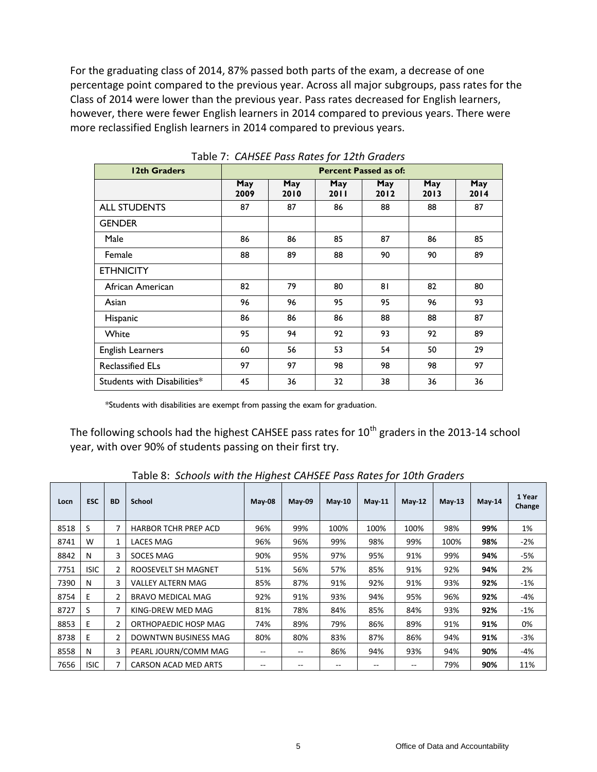For the graduating class of 2014, 87% passed both parts of the exam, a decrease of one percentage point compared to the previous year. Across all major subgroups, pass rates for the Class of 2014 were lower than the previous year. Pass rates decreased for English learners, however, there were fewer English learners in 2014 compared to previous years. There were more reclassified English learners in 2014 compared to previous years.

| 12th Graders                |             |             |                    | <b>Percent Passed as of:</b> |             |             |
|-----------------------------|-------------|-------------|--------------------|------------------------------|-------------|-------------|
|                             | May<br>2009 | May<br>2010 | May<br><b>2011</b> | May<br>2012                  | May<br>2013 | May<br>2014 |
| <b>ALL STUDENTS</b>         | 87          | 87          | 86                 | 88                           | 88          | 87          |
| <b>GENDER</b>               |             |             |                    |                              |             |             |
| Male                        | 86          | 86          | 85                 | 87                           | 86          | 85          |
| Female                      | 88          | 89          | 88                 | 90                           | 90          | 89          |
| <b>ETHNICITY</b>            |             |             |                    |                              |             |             |
| African American            | 82          | 79          | 80                 | 81                           | 82          | 80          |
| Asian                       | 96          | 96          | 95                 | 95                           | 96          | 93          |
| Hispanic                    | 86          | 86          | 86                 | 88                           | 88          | 87          |
| White                       | 95          | 94          | 92                 | 93                           | 92          | 89          |
| <b>English Learners</b>     | 60          | 56          | 53                 | 54                           | 50          | 29          |
| <b>Reclassified ELs</b>     | 97          | 97          | 98                 | 98                           | 98          | 97          |
| Students with Disabilities* | 45          | 36          | 32                 | 38                           | 36          | 36          |

Table 7: *CAHSEE Pass Rates for 12th Graders*

\*Students with disabilities are exempt from passing the exam for graduation.

The following schools had the highest CAHSEE pass rates for  $10^{th}$  graders in the 2013-14 school year, with over 90% of students passing on their first try.

| Locn | <b>ESC</b>  | <b>BD</b>      | <b>School</b>               | $May-08$ | May 09 | <b>May-10</b> | May 11 | May-12 | $May-13$ | $May-14$ | 1 Year<br>Change |
|------|-------------|----------------|-----------------------------|----------|--------|---------------|--------|--------|----------|----------|------------------|
| 8518 | S           | 7              | <b>HARBOR TCHR PREP ACD</b> | 96%      | 99%    | 100%          | 100%   | 100%   | 98%      | 99%      | 1%               |
| 8741 | W           | $\mathbf{1}$   | LACES MAG                   | 96%      | 96%    | 99%           | 98%    | 99%    | 100%     | 98%      | $-2%$            |
| 8842 | N           | 3              | SOCES MAG                   | 90%      | 95%    | 97%           | 95%    | 91%    | 99%      | 94%      | -5%              |
| 7751 | <b>ISIC</b> | $\overline{2}$ | ROOSEVELT SH MAGNET         | 51%      | 56%    | 57%           | 85%    | 91%    | 92%      | 94%      | 2%               |
| 7390 | N           | 3              | <b>VALLEY ALTERN MAG</b>    | 85%      | 87%    | 91%           | 92%    | 91%    | 93%      | 92%      | -1%              |
| 8754 | E.          | 2              | <b>BRAVO MEDICAL MAG</b>    | 92%      | 91%    | 93%           | 94%    | 95%    | 96%      | 92%      | -4%              |
| 8727 | S           | 7              | KING-DREW MED MAG           | 81%      | 78%    | 84%           | 85%    | 84%    | 93%      | 92%      | $-1%$            |
| 8853 | E.          | $\overline{2}$ | ORTHOPAEDIC HOSP MAG        | 74%      | 89%    | 79%           | 86%    | 89%    | 91%      | 91%      | 0%               |
| 8738 | E.          | $\overline{2}$ | DOWNTWN BUSINESS MAG        | 80%      | 80%    | 83%           | 87%    | 86%    | 94%      | 91%      | $-3%$            |
| 8558 | N           | 3              | PEARL JOURN/COMM MAG        | --       | $-$    | 86%           | 94%    | 93%    | 94%      | 90%      | -4%              |
| 7656 | <b>ISIC</b> | 7              | CARSON ACAD MED ARTS        | --       |        | --            | --     | $- -$  | 79%      | 90%      | 11%              |

Table 8: *Schools with the Highest CAHSEE Pass Rates for 10th Graders*